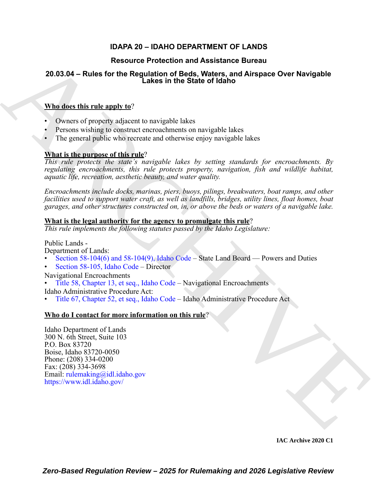# **IDAPA 20 – IDAHO DEPARTMENT OF LANDS**

# **Resource Protection and Assistance Bureau**

# **20.03.04 – Rules for the Regulation of Beds, Waters, and Airspace Over Navigable Lakes in the State of Idaho**

# **Who does this rule apply to**?

- Owners of property adjacent to navigable lakes
- Persons wishing to construct encroachments on navigable lakes
- The general public who recreate and otherwise enjoy navigable lakes

# **What is the purpose of this rule**?

*This rule protects the state's navigable lakes by setting standards for encroachments. By regulating encroachments, this rule protects property, navigation, fish and wildlife habitat, aquatic life, recreation, aesthetic beauty, and water quality.*

Resource Protection and Assistance Bureau<br>
20.03.04 – Rules for the Requisition of Beds, Waters, and Airspace Over Navigable<br>
Who does this rule angly this consideration antiquible lakes<br>
• Forsum of program algorithms co *Encroachments include docks, marinas, piers, buoys, pilings, breakwaters, boat ramps, and other facilities used to support water craft, as well as landfills, bridges, utility lines, float homes, boat garages, and other structures constructed on, in, or above the beds or waters of a navigable lake.*

# **What is the legal authority for the agency to promulgate this rule**?

*This rule implements the following statutes passed by the Idaho Legislature:*

Public Lands -

Department of Lands:

- Section 58-104(6) and 58-104(9), Idaho Code State Land Board Powers and Duties
- Section 58-105, Idaho Code Director
- Navigational Encroachments

• Title 58, Chapter 13, et seq., Idaho Code – Navigational Encroachments

Idaho Administrative Procedure Act:

• Title 67, Chapter 52, et seq., Idaho Code – Idaho Administrative Procedure Act

# **Who do I contact for more information on this rule**?

Idaho Department of Lands 300 N. 6th Street, Suite 103 P.O. Box 83720 Boise, Idaho 83720-0050 Phone: (208) 334-0200 Fax:  $(208)$  334-3698 Email: rulemaking@idl.idaho.gov https://www.idl.idaho.gov/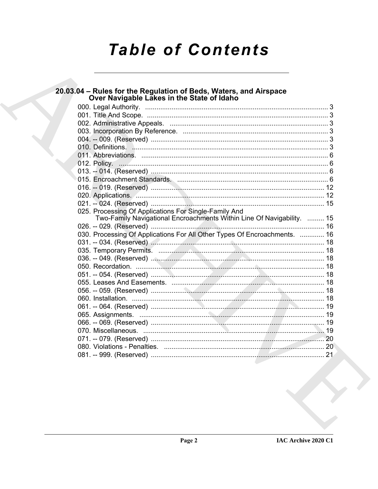# **Table of Contents**

| 20.03.04 - Rules for the Regulation of Beds, Waters, and Airspace<br>Over Navigable Lakes in the State of Idaho                 |
|---------------------------------------------------------------------------------------------------------------------------------|
|                                                                                                                                 |
|                                                                                                                                 |
|                                                                                                                                 |
|                                                                                                                                 |
|                                                                                                                                 |
|                                                                                                                                 |
|                                                                                                                                 |
|                                                                                                                                 |
|                                                                                                                                 |
|                                                                                                                                 |
|                                                                                                                                 |
| 020. Applications. Annumiram Marian Marian Communication and the 12                                                             |
|                                                                                                                                 |
| 025. Processing Of Applications For Single-Family And<br>Two-Family Navigational Encroachments Within Line Of Navigability.  15 |
|                                                                                                                                 |
| 030. Processing Of Applications For All Other Types Of Encroachments.  16                                                       |
|                                                                                                                                 |
|                                                                                                                                 |
|                                                                                                                                 |
|                                                                                                                                 |
|                                                                                                                                 |
|                                                                                                                                 |
|                                                                                                                                 |
|                                                                                                                                 |
|                                                                                                                                 |
|                                                                                                                                 |
|                                                                                                                                 |
|                                                                                                                                 |
|                                                                                                                                 |
|                                                                                                                                 |
|                                                                                                                                 |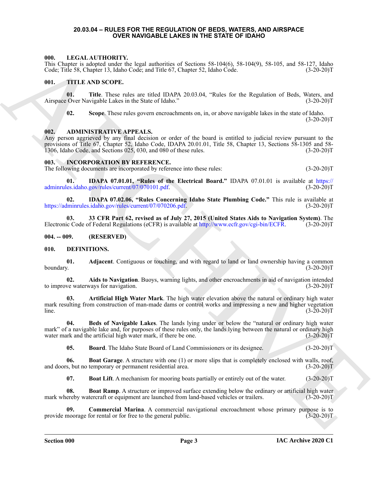# **20.03.04 – RULES FOR THE REGULATION OF BEDS, WATERS, AND AIRSPACE OVER NAVIGABLE LAKES IN THE STATE OF IDAHO**

# <span id="page-2-19"></span><span id="page-2-1"></span><span id="page-2-0"></span>**000. LEGAL AUTHORITY.**

This Chapter is adopted under the legal authorities of Sections 58-104(6), 58-104(9), 58-105, and 58-127, Idaho Code; Title 58, Chapter 13, Idaho Code; and Title 67, Chapter 52, Idaho Code. (3-20-20)T Code; Title 58, Chapter 13, Idaho Code; and Title 67, Chapter 52, Idaho Code.

# <span id="page-2-20"></span><span id="page-2-2"></span>**001. TITLE AND SCOPE.**

**01.** Title. These rules are titled IDAPA 20.03.04, "Rules for the Regulation of Beds, Waters, and Over Navigable Lakes in the State of Idaho." (3-20-20) Airspace Over Navigable Lakes in the State of Idaho."

<span id="page-2-7"></span>**02. Scope**. These rules govern encroachments on, in, or above navigable lakes in the state of Idaho.  $(3-20-20)T$ 

# <span id="page-2-3"></span>**002. ADMINISTRATIVE APPEALS.**

Any person aggrieved by any final decision or order of the board is entitled to judicial review pursuant to the provisions of Title 67, Chapter 52, Idaho Code, IDAPA 20.01.01, Title 58, Chapter 13, Sections 58-1305 and 58-<br>1306, Idaho Code, and Sections 025, 030, and 080 of these rules. (3-20-20)  $1306$ , Idaho Code, and Sections  $025$ ,  $030$ , and  $080$  of these rules.

# <span id="page-2-18"></span><span id="page-2-4"></span>**INCORPORATION BY REFERENCE.**

The following documents are incorporated by reference into these rules:  $(3-20-20)$ T

**01. IDAPA 07.01.01, "Rules of the Electrical Board."** IDAPA 07.01.01 is available at https:// adminrules.idaho.gov/rules/current/07/070101.pdf.

**02. IDAPA 07.02.06, "Rules Concerning Idaho State Plumbing Code."** This rule is available at https://adminrules.idaho.gov/rules/current/07/070206.pdf.

**03. 33 CFR Part 62, revised as of July 27, 2015 (United States Aids to Navigation System)**. The Electronic Code of Federal Regulations (eCFR) is available at http://www.ecfr.gov/cgi-bin/ECFR. (3-20-20)T

# <span id="page-2-5"></span>**004. -- 009. (RESERVED)**

# <span id="page-2-8"></span><span id="page-2-6"></span>**010. DEFINITIONS.**

<span id="page-2-9"></span>**01.** Adjacent. Contiguous or touching, and with regard to land or land ownership having a common boundary.  $(3-20-20)T$ boundary. (3-20-20)T

<span id="page-2-10"></span>**02. Aids to Navigation**. Buoys, warning lights, and other encroachments in aid of navigation intended to improve waterways for navigation.

<span id="page-2-11"></span>**03. Artificial High Water Mark**. The high water elevation above the natural or ordinary high water mark resulting from construction of man-made dams or control works and impressing a new and higher vegetation  $\ln 20 - 20 = 1$  (3-20-20)T

600. Interactional Technology Technology [C](https://adminrules.idaho.gov/rules/current/07/070206.pdf)ontrol is a species of section (8. 046),  $\alpha$  (1.2 and 248). Copies in the species of section (8. 2 and 2 and 2 and 2 and 2 and 2 and 2 and 3 and 3 and 3 and 3 and 3 and 3 and 3 a **04. Beds of Navigable Lakes**. The lands lying under or below the "natural or ordinary high water mark" of a navigable lake and, for purposes of these rules only, the lands lying between the natural or ordinary high water mark and the artificial high water mark, if there be one. (3-20-20) water mark and the artificial high water mark, if there be one.

<span id="page-2-14"></span><span id="page-2-13"></span><span id="page-2-12"></span>**05. Board**. The Idaho State Board of Land Commissioners or its designee. (3-20-20)T

**06.** Boat Garage. A structure with one (1) or more slips that is completely enclosed with walls, roof, s, but no temporary or permanent residential area.  $(3-20-20)$ and doors, but no temporary or permanent residential area.

<span id="page-2-17"></span><span id="page-2-16"></span><span id="page-2-15"></span>**07. Boat Lift**. A mechanism for mooring boats partially or entirely out of the water. (3-20-20)T

**Boat Ramp**. A structure or improved surface extending below the ordinary or artificial high water tercraft or equipment are launched from land-based vehicles or trailers. (3-20-20)T mark whereby watercraft or equipment are launched from land-based vehicles or trailers.

**09.** Commercial Marina. A commercial navigational encroachment whose primary purpose is to noorage for rental or for free to the general public. (3-20-20) provide moorage for rental or for free to the general public.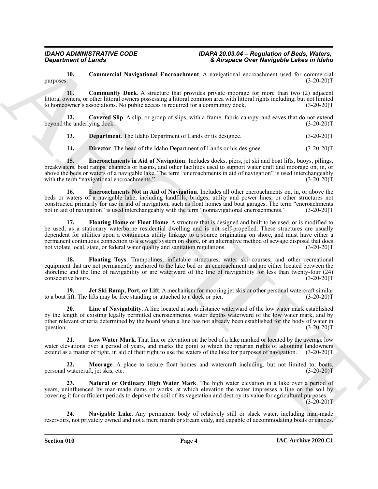<span id="page-3-0"></span>**10. Commercial Navigational Encroachment**. A navigational encroachment used for commercial purposes. (3-20-20)T  $p$ urposes. (3-20-20)T

<span id="page-3-1"></span>**11. Community Dock**. A structure that provides private moorage for more than two (2) adjacent littoral owners, or other littoral owners possessing a littoral common area with littoral rights including, but not limited to homeowner's associations. No public access is required for a community dock. (3-20-20)T

**12.** Covered Slip. A slip, or group of slips, with a frame, fabric canopy, and eaves that do not extend he underlying dock. (3-20-20) beyond the underlying dock.

<span id="page-3-3"></span><span id="page-3-2"></span>**13. Department**. The Idaho Department of Lands or its designee. (3-20-20)T

<span id="page-3-6"></span><span id="page-3-5"></span><span id="page-3-4"></span>**14. Director**. The head of the Idaho Department of Lands or his designee. (3-20-20)T

**15. Encroachments in Aid of Navigation**. Includes docks, piers, jet ski and boat lifts, buoys, pilings, breakwaters, boat ramps, channels or basins, and other facilities used to support water craft and moorage on, in, or above the beds or waters of a navigable lake. The term "encroachments in aid of navigation" is used interchangeably<br>with the term "navigational encroachments." (3-20-20) with the term "navigational encroachments."

<span id="page-3-7"></span>**16. Encroachments Not in Aid of Navigation**. Includes all other encroachments on, in, or above the beds or waters of a navigable lake, including landfills, bridges, utility and power lines, or other structures not constructed primarily for use in aid of navigation, such as float homes and boat garages. The term "encroachments not in aid of navigation" is used interchangeably with the term "nonnavigational encroachments." (3-20-20)T not in aid of navigation" is used interchangeably with the term "nonnavigational encroachments."

**Constraint of Leadyn Constraints Constrainted Constrainted Constrainted and the specific state of the specific state of the specific state of the specific state of the specific state of the specific state of the specific 17. Floating Home or Float Home**. A structure that is designed and built to be used, or is modified to be used, as a stationary waterborne residential dwelling and is not self-propelled. These structures are usually dependent for utilities upon a continuous utility linkage to a source originating on shore, and must have either a permanent continuous connection to a sewage system on shore, or an alternative method of sewage disposal that does not violate local, state, or federal water quality and sanitation regulations. (3-20-20) not violate local, state, or federal water quality and sanitation regulations.

<span id="page-3-8"></span>**18. Floating Toys**. Trampolines, inflatable structures, water ski courses, and other recreational equipment that are not permanently anchored to the lake bed or an encroachment and are either located between the shoreline and the line of navigability or are waterward of the line of navigability for less than twenty-four (24) consecutive hours. (3-20-20)T

<span id="page-3-9"></span>**19. Jet Ski Ramp, Port, or Lift**. A mechanism for mooring jet skis or other personal watercraft similar lift. The lifts may be free standing or attached to a dock or pier. (3-20-20) to a boat lift. The lifts may be free standing or attached to a dock or pier.

<span id="page-3-10"></span>**20. Line of Navigability**. A line located at such distance waterward of the low water mark established by the length of existing legally permitted encroachments, water depths waterward of the low water mark, and by other relevant criteria determined by the board when a line has not already been established for the body of water in question.  $(3-20-20)T$ 

<span id="page-3-11"></span>**21. Low Water Mark**. That line or elevation on the bed of a lake marked or located by the average low water elevations over a period of years, and marks the point to which the riparian rights of adjoining landowners extend as a matter of right, in aid of their right to use the waters of the lake for purposes of navigation. extend as a matter of right, in aid of their right to use the waters of the lake for purposes of navigation.

<span id="page-3-12"></span>**22. Moorage**. A place to secure float homes and watercraft including, but not limited to, boats, personal watercraft, jet skis, etc. (3-20-20)T

<span id="page-3-13"></span>**23. Natural or Ordinary High Water Mark**. The high water elevation in a lake over a period of years, uninfluenced by man-made dams or works, at which elevation the water impresses a line on the soil by covering it for sufficient periods to deprive the soil of its vegetation and destroy its value for agricultural purposes.  $(3-20-20)T$ 

<span id="page-3-14"></span>**24. Navigable Lake**. Any permanent body of relatively still or slack water, including man-made reservoirs, not privately owned and not a mere marsh or stream eddy, and capable of accommodating boats or canoes.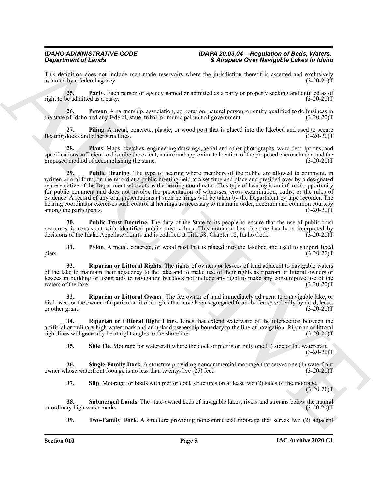This definition does not include man-made reservoirs where the jurisdiction thereof is asserted and exclusively assumed by a federal agency. (3-20-20) assumed by a federal agency.

<span id="page-4-0"></span>**25. Party**. Each person or agency named or admitted as a party or properly seeking and entitled as of pe admitted as a party. right to be admitted as a party.

<span id="page-4-1"></span>**26. Person**. A partnership, association, corporation, natural person, or entity qualified to do business in of Idaho and any federal, state, tribal, or municipal unit of government. (3-20-20) the state of Idaho and any federal, state, tribal, or municipal unit of government.

<span id="page-4-2"></span>**27.** Piling. A metal, concrete, plastic, or wood post that is placed into the lakebed and used to secure docks and other structures. (3-20-20)<sup>T</sup> floating docks and other structures.

<span id="page-4-4"></span><span id="page-4-3"></span>**28. Plans**. Maps, sketches, engineering drawings, aerial and other photographs, word descriptions, and specifications sufficient to describe the extent, nature and approximate location of the proposed encroachment and the proposed method of accomplishing the same. (3-20-20)T

Gatingthe Gating The main term is a divergence Over Marigate Deal Marigate Deal Marigate Deal Marigate Deal Marigate Deal Marigate Deal Marigate Deal Marigate Deal Marigate Deal Marigate Deal Marigate Deal Marigate Deal M **29. Public Hearing**. The type of hearing where members of the public are allowed to comment, in written or oral form, on the record at a public meeting held at a set time and place and presided over by a designated representative of the Department who acts as the hearing coordinator. This type of hearing is an informal opportunity for public comment and does not involve the presentation of witnesses, cross examination, oaths, or the rules of evidence. A record of any oral presentations at such hearings will be taken by the Department by tape recorder. The hearing coordinator exercises such control at hearings as necessary to maintain order, decorum and common courtesy<br>
(3-20-20)T among the participants.

<span id="page-4-5"></span>**30. Public Trust Doctrine**. The duty of the State to its people to ensure that the use of public trust resources is consistent with identified public trust values. This common law doctrine has been interpreted by decisions of the Idaho Appellate Courts and is codified at Title 58, Chapter 12, Idaho Code. (3-20-20)T decisions of the Idaho Appellate Courts and is codified at Title 58, Chapter 12, Idaho Code.

<span id="page-4-6"></span>**31.** Pylon. A metal, concrete, or wood post that is placed into the lakebed and used to support fixed (3-20-20) piers.  $(3-20-20)T$ 

<span id="page-4-9"></span>**32. Riparian or Littoral Rights**. The rights of owners or lessees of land adjacent to navigable waters of the lake to maintain their adjacency to the lake and to make use of their rights as riparian or littoral owners or lessees in building or using aids to navigation but does not include any right to make any consumptive use of the waters of the lake.

<span id="page-4-7"></span>**33. Riparian or Littoral Owner**. The fee owner of land immediately adjacent to a navigable lake, or his lessee, or the owner of riparian or littoral rights that have been segregated from the fee specifically by deed, lease, or other grant. (3-20-20)T

**34. Riparian or Littoral Right Lines**. Lines that extend waterward of the intersection between the artificial or ordinary high water mark and an upland ownership boundary to the line of navigation. Riparian or littoral right lines will generally be at right angles to the shoreline. (3-20-20)T

<span id="page-4-11"></span><span id="page-4-10"></span><span id="page-4-8"></span>**35. Side Tie**. Moorage for watercraft where the dock or pier is on only one (1) side of the watercraft.  $(3-20-20)T$ 

**36. Single-Family Dock**. A structure providing noncommercial moorage that serves one (1) waterfront owner whose waterfront footage is no less than twenty-five  $(25)$  feet.  $(3-20-20)$ T

<span id="page-4-13"></span><span id="page-4-12"></span>**37. Slip**. Moorage for boats with pier or dock structures on at least two (2) sides of the moorage.  $(3-20-20)T$ 

**38.** Submerged Lands. The state-owned beds of navigable lakes, rivers and streams below the natural ury high water marks. (3-20-20) or ordinary high water marks.

<span id="page-4-14"></span>**39. Two-Family Dock**. A structure providing noncommercial moorage that serves two (2) adjacent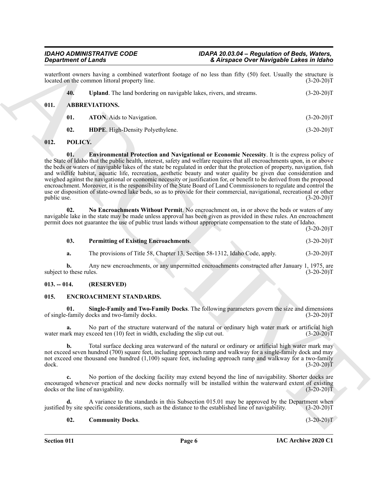waterfront owners having a combined waterfront footage of no less than fifty (50) feet. Usually the structure is located on the common littoral property line. (3-20-20) located on the common littoral property line.

<span id="page-5-7"></span><span id="page-5-5"></span><span id="page-5-4"></span><span id="page-5-0"></span>

|      | 40.                   | <b>Upland.</b> The land bordering on navigable lakes, rivers, and streams. | $(3-20-20)T$ |  |
|------|-----------------------|----------------------------------------------------------------------------|--------------|--|
| 011. | <b>ABBREVIATIONS.</b> |                                                                            |              |  |
|      | 01.                   | <b>ATON.</b> Aids to Navigation.                                           | $(3-20-20)T$ |  |
|      | 02.                   | <b>HDPE.</b> High-Density Polyethylene.                                    | $(3-20-20)T$ |  |

# <span id="page-5-12"></span><span id="page-5-11"></span><span id="page-5-6"></span><span id="page-5-1"></span>**012. POLICY.**

**Example 6 Canadia Controller Controller Scheduler (Altimate Controller Scheduler Scheduler Scheduler Scheduler Scheduler Scheduler Scheduler Scheduler Scheduler Scheduler Scheduler Scheduler Scheduler Scheduler Scheduler 01. Environmental Protection and Navigational or Economic Necessity**. It is the express policy of the State of Idaho that the public health, interest, safety and welfare requires that all encroachments upon, in or above the beds or waters of navigable lakes of the state be regulated in order that the protection of property, navigation, fish and wildlife habitat, aquatic life, recreation, aesthetic beauty and water quality be given due consideration and weighed against the navigational or economic necessity or justification for, or benefit to be derived from the proposed encroachment. Moreover, it is the responsibility of the State Board of Land Commissioners to regulate and control the use or disposition of state-owned lake beds, so as to provide for their commercial, navigational, recreational or other<br>(3-20-20) public use. (3-20-20)T

**02. No Encroachments Without Permit**. No encroachment on, in or above the beds or waters of any navigable lake in the state may be made unless approval has been given as provided in these rules. An encroachment permit does not guarantee the use of public trust lands without appropriate compensation to the state of Idaho.

 $(3-20-20)T$ 

# <span id="page-5-14"></span><span id="page-5-13"></span>**03. Permitting of Existing Encroachments**. (3-20-20)T

**a.** The provisions of Title 58, Chapter 13, Section 58-1312, Idaho Code, apply.  $(3-20-20)T$ 

**b.** Any new encroachments, or any unpermitted encroachments constructed after January 1, 1975, are o these rules. (3-20-20) subject to these rules.

# <span id="page-5-2"></span>**013. -- 014. (RESERVED)**

# <span id="page-5-8"></span><span id="page-5-3"></span>**015. ENCROACHMENT STANDARDS.**

<span id="page-5-10"></span>**01. Single-Family and Two-Family Docks**. The following parameters govern the size and dimensions of single-family docks and two-family docks.

**a.** No part of the structure waterward of the natural or ordinary high water mark or artificial high water mark may exceed ten (10) feet in width, excluding the slip cut out. (3-20-20)T

**b.** Total surface decking area waterward of the natural or ordinary or artificial high water mark may not exceed seven hundred (700) square feet, including approach ramp and walkway for a single-family dock and may not exceed one thousand one hundred (1,100) square feet, including approach ramp and walkway for a two-family  $\sec(3-20-20)$ T (3-20-20)T

**c.** No portion of the docking facility may extend beyond the line of navigability. Shorter docks are encouraged whenever practical and new docks normally will be installed within the waterward extent of existing docks or the line of navigability. (3-20-20)T

A variance to the standards in this Subsection 015.01 may be approved by the Department when becific considerations, such as the distance to the established line of navigability. (3-20-20)T justified by site specific considerations, such as the distance to the established line of navigability.

# <span id="page-5-9"></span>**02. Community Docks**. (3-20-20)T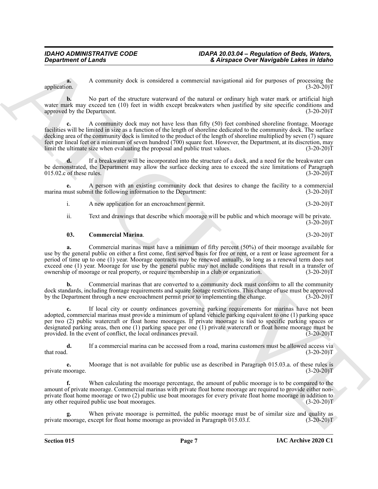**a.** A community dock is considered a commercial navigational aid for purposes of processing the on. (3-20-20) application. (3-20-20)T

**b.** No part of the structure waterward of the natural or ordinary high water mark or artificial high water mark may exceed ten (10) feet in width except breakwaters when justified by site specific conditions and<br>(3-20-20)T approved by the Department.

ARCHIVE **c.** A community dock may not have less than fifty (50) feet combined shoreline frontage. Moorage facilities will be limited in size as a function of the length of shoreline dedicated to the community dock. The surface decking area of the community dock is limited to the product of the length of shoreline multiplied by seven (7) square feet per lineal feet or a minimum of seven hundred (700) square feet. However, the Department, at its discretion, may<br>limit the ultimate size when evaluating the proposal and public trust values. (3-20-20) limit the ultimate size when evaluating the proposal and public trust values.

**d.** If a breakwater will be incorporated into the structure of a dock, and a need for the breakwater can be demonstrated, the Department may allow the surface decking area to exceed the size limitations of Paragraph 015.02.c of these rules. (3-20-20)T  $015.02.c$  of these rules.

**e.** A person with an existing community dock that desires to change the facility to a commercial ust submit the following information to the Department: (3-20-20) marina must submit the following information to the Department:

i. A new application for an encroachment permit. (3-20-20)T

ii. Text and drawings that describe which moorage will be public and which moorage will be private.  $(3-20-20)T$ 

# <span id="page-6-0"></span>**03. Commercial Marina**. (3-20-20)T

**a.** Commercial marinas must have a minimum of fifty percent (50%) of their moorage available for use by the general public on either a first come, first served basis for free or rent, or a rent or lease agreement for a period of time up to one (1) year. Moorage contracts may be renewed annually, so long as a renewal term does not exceed one (1) year. Moorage for use by the general public may not include conditions that result in a transfer of ownership of moorage or real property, or require membership in a club or organization. (3-20-20)T

**b.** Commercial marinas that are converted to a community dock must conform to all the community dock standards, including frontage requirements and square footage restrictions. This change of use must be approved<br>by the Department through a new encroachment permit prior to implementing the change. (3-20-20)T by the Department through a new encroachment permit prior to implementing the change.

If local city or county ordinances governing parking requirements for marinas have not been adopted, commercial marinas must provide a minimum of upland vehicle parking equivalent to one (1) parking space per two (2) public watercraft or float home moorages. If private moorage is tied to specific parking spaces or designated parking areas, then one (1) parking space per one (1) private watercraft or float home moorage must be provided. In the event of conflict, the local ordinances prevail. (3-20-20) T

**d.** If a commercial marina can be accessed from a road, marina customers must be allowed access via that road. (3-20-20) that road.  $(3-20-20)T$ 

**e.** Moorage that is not available for public use as described in Paragraph 015.03.a. of these rules is noorage. (3-20-20) private moorage.

**f.** When calculating the moorage percentage, the amount of public moorage is to be compared to the amount of private moorage. Commercial marinas with private float home moorage are required to provide either nonprivate float home moorage or two (2) public use boat moorages for every private float home moorage in addition to any other required public use boat moorages. (3-20-20)T

When private moorage is permitted, the public moorage must be of similar size and quality as except for float home moorage as provided in Paragraph 015.03.f. (3-20-20)<sup>T</sup> private moorage, except for float home moorage as provided in Paragraph 015.03.f.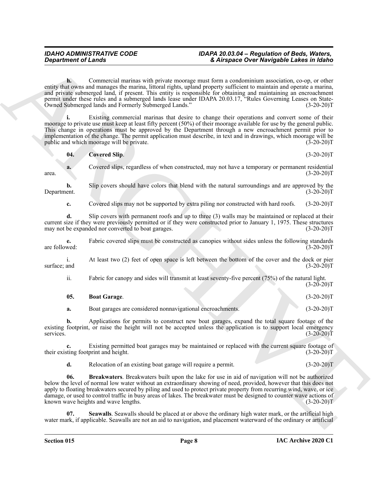**h.** Commercial marinas with private moorage must form a condominium association, co-op, or other entity that owns and manages the marina, littoral rights, upland property sufficient to maintain and operate a marina, and private submerged land, if present. This entity is responsible for obtaining and maintaining an encroachment permit under these rules and a submerged lands lease under IDAPA 20.03.17, "Rules Governing Leases on State-Owned Submerged lands and Formerly Submerged Lands." (3-20-20)T

**Consideration** of Leadyn<br>
Consideration of the state of the state of the state of the state of the state of the state of the state of the state of the state of the state of the state of the state of the state of the stat **i.** Existing commercial marinas that desire to change their operations and convert some of their moorage to private use must keep at least fifty percent (50%) of their moorage available for use by the general public. This change in operations must be approved by the Department through a new encroachment permit prior to implementation of the change. The permit application must describe, in text and in drawings, which moorage will be public and which moorage will be private. public and which moorage will be private.

<span id="page-7-2"></span>**04. Covered Slip**. (3-20-20)T

**a.** Covered slips, regardless of when constructed, may not have a temporary or permanent residential (3-20-20)T area.  $(3-20-20)T$ 

**b.** Slip covers should have colors that blend with the natural surroundings and are approved by the Department. (3-20-20)T Department. (3-20-20)T

**c.** Covered slips may not be supported by extra piling nor constructed with hard roofs.  $(3-20-20)T$ 

**d.** Slip covers with permanent roofs and up to three (3) walls may be maintained or replaced at their current size if they were previously permitted or if they were constructed prior to January 1, 1975. These structures may not be expanded nor converted to boat garages. (3-20-20) may not be expanded nor converted to boat garages.

**e.** Fabric covered slips must be constructed as canopies without sides unless the following standards (3-20-20)T are followed:  $(3-20-20)T$ 

i. At least two (2) feet of open space is left between the bottom of the cover and the dock or pier surface; and (3-20-20)  $\text{surface}$ ; and  $(3-20-20)$ T

<span id="page-7-0"></span>ii. Fabric for canopy and sides will transmit at least seventy-five percent (75%) of the natural light.  $(3-20-20)T$ 

| 05.<br><b>Boat Garage.</b> |  | $(3-20-20)T$ |
|----------------------------|--|--------------|
|----------------------------|--|--------------|

**a.** Boat garages are considered nonnavigational encroachments. (3-20-20)T

**b.** Applications for permits to construct new boat garages, expand the total square footage of the existing footprint, or raise the height will not be accepted unless the application is to support local emergency services.  $(3-20-20)T$ 

**c.** Existing permitted boat garages may be maintained or replaced with the current square footage of sting footprint and height. (3-20-20) their existing footprint and height.

<span id="page-7-1"></span>**d.** Relocation of an existing boat garage will require a permit. (3-20-20)

**06. Breakwaters**. Breakwaters built upon the lake for use in aid of navigation will not be authorized below the level of normal low water without an extraordinary showing of need, provided, however that this does not apply to floating breakwaters secured by piling and used to protect private property from recurring wind, wave, or ice damage, or used to control traffic in busy areas of lakes. The breakwater must be designed to counter wave actions of known wave heights and wave lengths. (3-20-20)T

<span id="page-7-3"></span>**Seawalls**. Seawalls should be placed at or above the ordinary high water mark, or the artificial high water mark, if applicable. Seawalls are not an aid to navigation, and placement waterward of the ordinary or artificial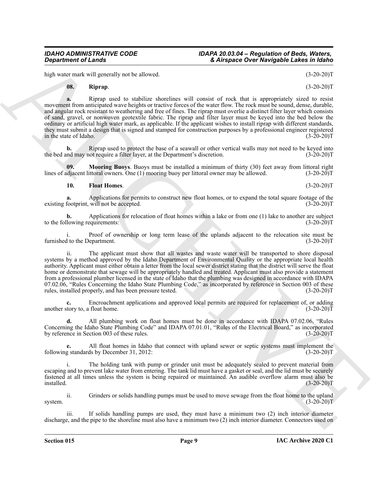# **Section 015 Page 9**

# **IAC Archive 2020 C1**

*IDAHO ADMINISTRATIVE CODE IDAPA 20.03.04 – Regulation of Beds, Waters, Department of Lands & Airspace Over Navigable Lakes in Idaho*

high water mark will generally not be allowed. (3-20-20) (3-20-20) T

**Equivariant of Lendar<br>
Singular control is altrapaec Over Navigable Lake in Nikola<br>
Singular control is a smaller than the signal control is alternative control in the sympetization of the sympetric (1.20.20)<br>
and the sy a.** Riprap used to stabilize shorelines will consist of rock that is appropriately sized to resist movement from anticipated wave heights or tractive forces of the water flow. The rock must be sound, dense, durable, and angular rock resistant to weathering and free of fines. The riprap must overlie a distinct filter layer which consists of sand, gravel, or nonwoven geotextile fabric. The riprap and filter layer must be keyed into the bed below the ordinary or artificial high water mark, as applicable. If the applicant wishes to install riprap with different standards, they must submit a design that is signed and stamped for construction purposes by a professional engineer registered in the state of Idaho. (3-20-20)T

**b.** Riprap used to protect the base of a seawall or other vertical walls may not need to be keyed into nd may not require a filter layer, at the Department's discretion. (3-20-20) the bed and may not require a filter layer, at the Department's discretion.

**09. Mooring Buoys**. Buoys must be installed a minimum of thirty (30) feet away from littoral right diacent littoral owners. One (1) mooring buoy per littoral owner may be allowed. (3-20-20)T lines of adjacent littoral owners. One (1) mooring buoy per littoral owner may be allowed.

# <span id="page-8-1"></span><span id="page-8-0"></span>**10. Float Homes**. (3-20-20)T

**a.** Applications for permits to construct new float homes, or to expand the total square footage of the footprint, will not be accepted. (3-20-20)<sup>T</sup> existing footprint, will not be accepted.

**b.** Applications for relocation of float homes within a lake or from one (1) lake to another are subject to the following requirements: (3-20-20)T

i. Proof of ownership or long term lease of the uplands adjacent to the relocation site must be 1 to the Department. (3-20-20) furnished to the Department.

ii. The applicant must show that all wastes and waste water will be transported to shore disposal systems by a method approved by the Idaho Department of Environmental Quality or the appropriate local health authority. Applicant must either obtain a letter from the local sewer district stating that the district will serve the float home or demonstrate that sewage will be appropriately handled and treated. Applicant must also provide a statement from a professional plumber licensed in the state of Idaho that the plumbing was designed in accordance with IDAPA 07.02.06, "Rules Concerning the Idaho State Plumbing Code," as incorporated by reference in Section 003 of these rules, installed properly, and has been pressure tested. (3-20-20)T

**c.** Encroachment applications and approved local permits are required for replacement of, or adding another story to, a float home. (3-20-20)T

**d.** All plumbing work on float homes must be done in accordance with IDAPA 07.02.06, "Rules Concerning the Idaho State Plumbing Code" and IDAPA 07.01.01, "Rules of the Electrical Board," as incorporated by reference in Section 003 of these rules. (3-20-20)T

**e.** All float homes in Idaho that connect with upland sewer or septic systems must implement the g standards by December 31, 2012: following standards by December 31, 2012:

The holding tank with pump or grinder unit must be adequately sealed to prevent material from escaping and to prevent lake water from entering. The tank lid must have a gasket or seal, and the lid must be securely fastened at all times unless the system is being repaired or maintained. An audible overflow alarm must also be installed. (3-20-20)T

ii. Grinders or solids handling pumps must be used to move sewage from the float home to the upland system.  $(3-20-20)T$ 

If solids handling pumps are used, they must have a minimum two  $(2)$  inch interior diameter discharge, and the pipe to the shoreline must also have a minimum two (2) inch interior diameter. Connectors used on

<span id="page-8-2"></span>**08. Riprap**. (3-20-20)T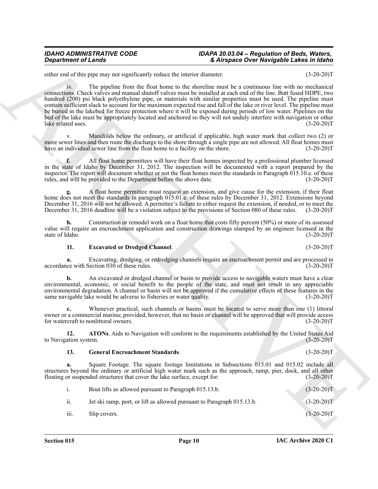either end of this pipe may not significantly reduce the interior diameter. (3-20-20)T

**Equivariant of Leads Constraints when the interaction and the extreme over Navigation Leads in Vision 1998.**<br>
Solution the specific property of the specific property interaction and the extreme of the extreme of the spec iv. The pipeline from the float home to the shoreline must be a continuous line with no mechanical connections. Check valves and manual shutoff valves must be installed at each end of the line. Butt fused HDPE, two hundred (200) psi black polyethylene pipe, or materials with similar properties must be used. The pipeline must contain sufficient slack to account for the maximum expected rise and fall of the lake or river level. The pipeline must be buried in the lakebed for freeze protection where it will be exposed during periods of low water. Pipelines on the bed of the lake must be appropriately located and anchored so they will not unduly interfere with navigation or other lake related uses. (3-20-20)T

v. Manifolds below the ordinary, or artificial if applicable, high water mark that collect two (2) or more sewer lines and then route the discharge to the shore through a single pipe are not allowed. All float homes must<br>have an individual sewer line from the float home to a facility on the shore. (3-20-20) have an individual sewer line from the float home to a facility on the shore.

**f.** All float home permittees will have their float homes inspected by a professional plumber licensed in the state of Idaho by December 31, 2012. The inspection will be documented with a report prepared by the inspector. The report will document whether or not the float homes meet the standards in Paragraph 015.10.e. of these rules, and will be provided to the Department before the above date. (3-20-20) rules, and will be provided to the Department before the above date.

**g.** A float home permittee must request an extension, and give cause for the extension, if their float home does not meet the standards in paragraph 015.01.e. of these rules by December 31, 2012. Extensions beyond December 31, 2016 will not be allowed. A permittee's failure to either request the extension, if needed, or to meet the December 31, 2016 deadline will be a violation subject to the provisions of Section 080 of these rules December 31, 2016 deadline will be a violation subject to the provisions of Section 080 of these rules.

**h.** Construction or remodel work on a float home that costs fifty percent (50%) or more of its assessed value will require an encroachment application and construction drawings stamped by an engineer licensed in the state of Idaho. (3-20-20)T state of Idaho.

# <span id="page-9-1"></span>**11. Excavated or Dredged Channel**. (3-20-20)T

**a.** Excavating, dredging, or redredging channels require an encroachment permit and are processed in ce with Section 030 of these rules. (3-20-20) accordance with Section  $030$  of these rules.

**b.** An excavated or dredged channel or basin to provide access to navigable waters must have a clear environmental, economic, or social benefit to the people of the state, and must not result in any appreciable environmental degradation. A channel or basin will not be approved if the cumulative effects of these features in the same navigable lake would be adverse to fisheries or water quality. (3-20-20) same navigable lake would be adverse to fisheries or water quality.

**c.** Whenever practical, such channels or basins must be located to serve more than one (1) littoral owner or a commercial marina; provided, however, that no basin or channel will be approved that will provide access for watercraft to nonlittoral owners. (3-20-20)T

**12. ATONs**. Aids to Navigation will conform to the requirements established by the United States Aid ation system. (3-20-20)T to Navigation system.

# <span id="page-9-2"></span><span id="page-9-0"></span>**13. General Encroachment Standards**. (3-20-20)T

**a.** Square Footage. The square footage limitations in Subsections 015.01 and 015.02 include all structures beyond the ordinary or artificial high water mark such as the approach, ramp, pier, dock, and all other<br>floating or suspended structures that cover the lake surface, except for: (3-20-20) floating or suspended structures that cover the lake surface, except for:

- i. Boat lifts as allowed pursuant to Paragraph 015.13.b. (3-20-20)T ii. Jet ski ramp, port, or lift as allowed pursuant to Paragraph 015.13.b. (3-20-20)T
- iii. Slip covers.  $(3-20-20)T$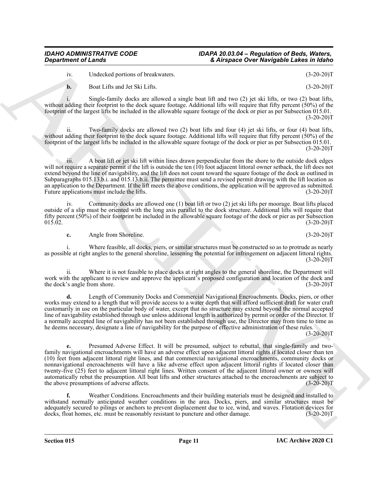iv. Undecked portions of breakwaters. (3-20-20)T

**b.** Boat Lifts and Jet Ski Lifts. (3-20-20)T

i. Single-family docks are allowed a single boat lift and two (2) jet ski lifts, or two (2) boat lifts, without adding their footprint to the dock square footage. Additional lifts will require that fifty percent (50%) of the footprint of the largest lifts be included in the allowable square footage of the dock or pier as per Subsection 015.01.  $(3-20-20)T$ 

ii. Two-family docks are allowed two (2) boat lifts and four (4) jet ski lifts, or four (4) boat lifts, without adding their footprint to the dock square footage. Additional lifts will require that fifty percent  $(50%)$  of the footprint of the largest lifts be included in the allowable square footage of the dock or pier as per Subsection 015.01.  $(3-20-20)T$ 

iii. A boat lift or jet ski lift within lines drawn perpendicular from the shore to the outside dock edges will not require a separate permit if the lift is outside the ten  $(10)$  foot adjacent littoral owner setback, the lift does not extend beyond the line of navigability, and the lift does not count toward the square footage of the dock as outlined in Subparagraphs 015.13.b.i. and 015.13.b.ii. The permittee must send a revised permit drawing with the lift location as an application to the Department. If the lift meets the above conditions, the application will be approved as submitted. Future applications must include the lifts. (3-20-20)T

iv. Community docks are allowed one (1) boat lift or two (2) jet ski lifts per moorage. Boat lifts placed outside of a slip must be oriented with the long axis parallel to the dock structure. Additional lifts will require that fifty percent (50%) of their footprint be included in the allowable square footage of the dock or pier as per Subsection  $015.02.$  (3-20-20)T

**c.** Angle from Shoreline. (3-20-20)T

i. Where feasible, all docks, piers, or similar structures must be constructed so as to protrude as nearly as possible at right angles to the general shoreline, lessening the potential for infringement on adjacent littoral rights.  $(3-20-20)T$ 

ii. Where it is not feasible to place docks at right angles to the general shoreline, the Department will work with the applicant to review and approve the applicant's proposed configuration and location of the dock and<br>the dock's angle from shore. (3-20-20) the dock's angle from shore.

**d.** Length of Community Docks and Commercial Navigational Encroachments. Docks, piers, or other works may extend to a length that will provide access to a water depth that will afford sufficient draft for water craft customarily in use on the particular body of water, except that no structure may extend beyond the normal accepted line of navigability established through use unless additional length is authorized by permit or order of the Director. If a normally accepted line of navigability has not been established through use, the Director may from time to time as he deems necessary, designate a line of navigability for the purpose of effective administration of these rules.

 $(3-20-20)T$ 

**Constrained of Leader Constrained Constrained Constrained Constrained Constrained Constrained Constrained Constrained Constrained Constrained Constrained Constrained Constrained Constrained Constrained Constrained Constr e.** Presumed Adverse Effect. It will be presumed, subject to rebuttal, that single-family and twofamily navigational encroachments will have an adverse effect upon adjacent littoral rights if located closer than ten (10) feet from adjacent littoral right lines, and that commercial navigational encroachments, community docks or nonnavigational encroachments will have a like adverse effect upon adjacent littoral rights if located closer than twenty-five (25) feet to adjacent littoral right lines. Written consent of the adjacent littoral owner or owners will automatically rebut the presumption. All boat lifts and other structures attached to the encroachments are subject to the above presumptions of adverse affects. (3-20-20) the above presumptions of adverse affects.

**f.** Weather Conditions. Encroachments and their building materials must be designed and installed to withstand normally anticipated weather conditions in the area. Docks, piers, and similar structures must be adequately secured to pilings or anchors to prevent displacement due to ice, wind, and waves. Flotation devices for docks, float homes, etc. must be reasonably resistant to puncture and other damage.  $(3-20-20)$ T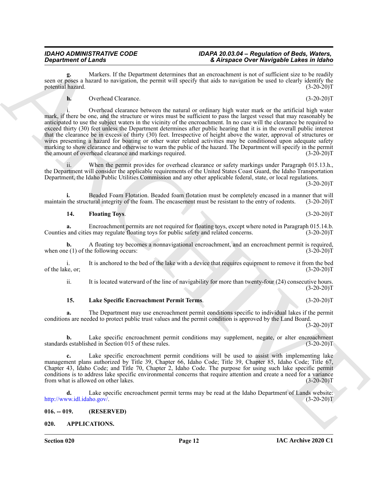**g.** Markers. If the Department determines that an encroachment is not of sufficient size to be readily seen or poses a hazard to navigation, the permit will specify that aids to navigation be used to clearly identify the potential hazard. (3-20-20) potential hazard.

# **h.** Overhead Clearance. (3-20-20)T

**Considered Calculates** of the transformation of the material of the propose Constantine (i.e.,  $\frac{1}{2}$  (i.e.,  $\frac{1}{2}$  (i.e.,  $\frac{1}{2}$  (i.e.,  $\frac{1}{2}$  (i.e.,  $\frac{1}{2}$  (i.e.,  $\frac{1}{2}$  (i.e.,  $\frac{1}{2}$  (i.e.,  $\frac{1}{$ i. Overhead clearance between the natural or ordinary high water mark or the artificial high water mark, if there be one, and the structure or wires must be sufficient to pass the largest vessel that may reasonably be anticipated to use the subject waters in the vicinity of the encroachment. In no case will the clearance be required to exceed thirty (30) feet unless the Department determines after public hearing that it is in the overall public interest that the clearance be in excess of thirty (30) feet. Irrespective of height above the water, approval of structures or wires presenting a hazard for boating or other water related activities may be conditioned upon adequate safety marking to show clearance and otherwise to warn the public of the hazard. The Department will specify in the permit<br>the amount of overhead clearance and markings required. (3-20-20) the amount of overhead clearance and markings required.

ii. When the permit provides for overhead clearance or safety markings under Paragraph 015.13.h., the Department will consider the applicable requirements of the United States Coast Guard, the Idaho Transportation Department, the Idaho Public Utilities Commission and any other applicable federal, state, or local regulations.

 $(3-20-20)T$ 

**i.** Beaded Foam Flotation. Beaded foam flotation must be completely encased in a manner that will maintain the structural integrity of the foam. The encasement must be resistant to the entry of rodents. (3-20-20)T

<span id="page-11-3"></span>**14. Floating Toys**. (3-20-20)T

**a.** Encroachment permits are not required for floating toys, except where noted in Paragraph 015.14.b. and cities may regulate floating toys for public safety and related concerns. (3-20-20) Counties and cities may regulate floating toys for public safety and related concerns.

**b.** A floating toy becomes a nonnavigational encroachment, and an encroachment permit is required,  $e(1)$  of the following occurs: (3-20-20) when one  $(1)$  of the following occurs:

i. It is anchored to the bed of the lake with a device that requires equipment to remove it from the bed of the lake, or;  $(3-20-20)T$ 

ii. It is located waterward of the line of navigability for more than twenty-four (24) consecutive hours.  $(3-20-20)T$ 

# <span id="page-11-4"></span>**15. Lake Specific Encroachment Permit Terms**. (3-20-20)T

**a.** The Department may use encroachment permit conditions specific to individual lakes if the permit conditions are needed to protect public trust values and the permit condition is approved by the Land Board.

 $(3-20-20)T$ 

**b.** Lake specific encroachment permit conditions may supplement, negate, or alter encroachment s established in Section 015 of these rules. (3-20-20) standards established in Section 015 of these rules.

**c.** Lake specific encroachment permit conditions will be used to assist with implementing lake management plans authorized by Title 39, Chapter 66, Idaho Code; Title 39, Chapter 85, Idaho Code; Title 67, Chapter 43, Idaho Code; and Title 70, Chapter 2, Idaho Code. The purpose for using such lake specific permit conditions is to address lake specific environmental concerns that require attention and create a need for a variance<br>from what is allowed on other lakes. (3-20-20) from what is allowed on other lakes.

**d.** Lake specific encroachment permit terms may be read at the Idaho Department of Lands website:<br>ww.idl.idaho.gov/. (3-20-20)T http://www.idl.idaho.gov/.

# <span id="page-11-2"></span><span id="page-11-0"></span>**016. -- 019. (RESERVED)**

<span id="page-11-1"></span>**020. APPLICATIONS.**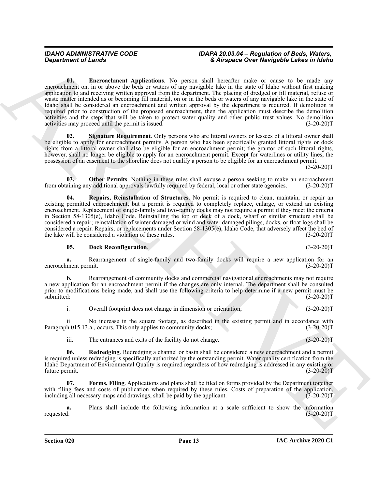**Constraint of Leady<br>
Constraint Applications.** No prove the distribution of the state of the state of the state of the state of the state<br>
constraint of the state of the state of the state of the state of the state of th **01. Encroachment Applications**. No person shall hereafter make or cause to be made any encroachment on, in or above the beds or waters of any navigable lake in the state of Idaho without first making application to and receiving written approval from the department. The placing of dredged or fill material, refuse or waste matter intended as or becoming fill material, on or in the beds or waters of any navigable lake in the state of Idaho shall be considered an encroachment and written approval by the department is required. If demolition is required prior to construction of the proposed encroachment, then the application must describe the demolition activities and the steps that will be taken to protect water quality and other public trust values. No demolition activities may proceed until the permit is issued. (3-20-20)T

<span id="page-12-3"></span><span id="page-12-0"></span>**02. Signature Requirement**. Only persons who are littoral owners or lessees of a littoral owner shall be eligible to apply for encroachment permits. A person who has been specifically granted littoral rights or dock rights from a littoral owner shall also be eligible for an encroachment permit; the grantor of such littoral rights, however, shall no longer be eligible to apply for an encroachment permit. Except for waterlines or utility lines, the possession of an easement to the shoreline does not qualify a person to be eligible for an encroachment permit.

 $(3-20-20)T$ 

<span id="page-12-1"></span>**03. Other Permits**. Nothing in these rules shall excuse a person seeking to make an encroachment from obtaining any additional approvals lawfully required by federal, local or other state agencies. (3-20-20)T

<span id="page-12-2"></span>**04. Repairs, Reinstallation of Structures**. No permit is required to clean, maintain, or repair an existing permitted encroachment, but a permit is required to completely replace, enlarge, or extend an existing encroachment. Replacement of single-family and two-family docks may not require a permit if they meet the criteria in Section 58-1305(e), Idaho Code. Reinstalling the top or deck of a dock, wharf or similar structure shall be considered a repair; reinstallation of winter damaged or wind and water damaged pilings, docks, or float logs shall be considered a repair. Repairs, or replacements under Section 58-1305(e), Idaho Code, that adversely affect the bed of the lake will be considered a violation of these rules. (3-20-20) the lake will be considered a violation of these rules.

# <span id="page-12-4"></span>**05. Dock Reconfiguration**. (3-20-20)T

**a.** Rearrangement of single-family and two-family docks will require a new application for an ment permit. (3-20-20) encroachment permit.

**b.** Rearrangement of community docks and commercial navigational encroachments may not require a new application for an encroachment permit if the changes are only internal. The department shall be consulted prior to modifications being made, and shall use the following criteria to help determine if a new permit must be submitted: (3-20-20) submitted:  $(3-20-20)T$ 

i. Overall footprint does not change in dimension or orientation; (3-20-20)T

ii No increase in the square footage, as described in the existing permit and in accordance with 015.13.a., occurs. This only applies to community docks; (3-20-20) Paragraph 015.13.a., occurs. This only applies to community docks;

<span id="page-12-5"></span>iii. The entrances and exits of the facility do not change. (3-20-20)T

**06. Redredging**. Redredging a channel or basin shall be considered a new encroachment and a permit is required unless redredging is specifically authorized by the outstanding permit. Water quality certification from the Idaho Department of Environmental Quality is required regardless of how redredging is addressed in any existing or future permit. (3-20-20) future permit. (3-20-20)T

**07. Forms, Filing**. Applications and plans shall be filed on forms provided by the Department together with filing fees and costs of publication when required by these rules. Costs of preparation of the application, including all necessary maps and drawings, shall be paid by the applicant. (3-20-20)T

**a.** Plans shall include the following information at a scale sufficient to show the information requested: (3-20-20) requested: (3-20-20)T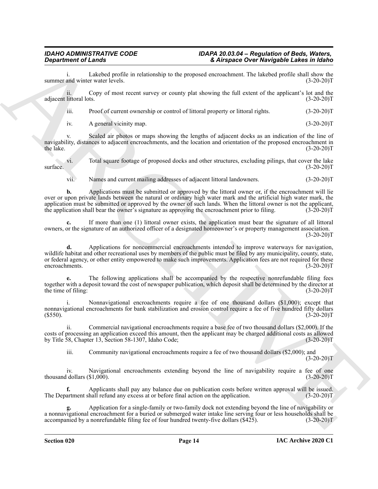i. Lakebed profile in relationship to the proposed encroachment. The lakebed profile shall show the and winter water levels. (3-20-20) summer and winter water levels.

ii. Copy of most recent survey or county plat showing the full extent of the applicant's lot and the adjacent littoral lots. (3-20-20)T

iii. Proof of current ownership or control of littoral property or littoral rights. (3-20-20)T

iv. A general vicinity map. (3-20-20)T

v. Scaled air photos or maps showing the lengths of adjacent docks as an indication of the line of navigability, distances to adjacent encroachments, and the location and orientation of the proposed encroachment in the lake. (3-20-20)T the lake.  $(3-20-20)T$ 

vi. Total square footage of proposed docks and other structures, excluding pilings, that cover the lake surface. (3-20-20)T

vii. Names and current mailing addresses of adjacent littoral landowners. (3-20-20)T

Gapacitation of Leaders Counter and Advanced Counter and Advanced Counter and Advanced Development and Advanced Development and Advanced Development and Advanced Development and Advanced Development and Advanced Developme **b.** Applications must be submitted or approved by the littoral owner or, if the encroachment will lie over or upon private lands between the natural or ordinary high water mark and the artificial high water mark, the application must be submitted or approved by the owner of such lands. When the littoral owner is not the applicant, the application shall bear the owner's signature as approving the encroachment prior to filing. (3-20-20) the application shall bear the owner's signature as approving the encroachment prior to filing.

**c.** If more than one (1) littoral owner exists, the application must bear the signature of all littoral owners, or the signature of an authorized officer of a designated homeowner's or property management association.  $(3-20-20)T$ 

**d.** Applications for noncommercial encroachments intended to improve waterways for navigation, wildlife habitat and other recreational uses by members of the public must be filed by any municipality, county, state, or federal agency, or other entity empowered to make such improvements. Application fees are not required for these<br>(3-20-20)T encroachments.

**e.** The following applications shall be accompanied by the respective nonrefundable filing fees together with a deposit toward the cost of newspaper publication, which deposit shall be determined by the director at the time of filing: (3-20-20) the time of filing:

i. Nonnavigational encroachments require a fee of one thousand dollars (\$1,000); except that nonnavigational encroachments for bank stabilization and erosion control require a fee of five hundred fifty dollars (\$550).  $(3-20-20)$ T (30.200)

ii. Commercial navigational encroachments require a base fee of two thousand dollars (\$2,000). If the costs of processing an application exceed this amount, then the applicant may be charged additional costs as allowed<br>by Title 58, Chapter 13, Section 58-1307, Idaho Code; (3-20-20) by Title 58, Chapter 13, Section 58-1307, Idaho Code;

iii. Community navigational encroachments require a fee of two thousand dollars (\$2,000); and  $(3-20-20)T$ 

iv. Navigational encroachments extending beyond the line of navigability require a fee of one<br>dollars (\$1,000). (3-20-20)T thousand dollars  $(\$1,000)$ .

**f.** Applicants shall pay any balance due on publication costs before written approval will be issued. The Department shall refund any excess at or before final action on the application.

**g.** Application for a single-family or two-family dock not extending beyond the line of navigability or a nonnavigational encroachment for a buried or submerged water intake line serving four or less households shall be accompanied by a nonrefundable filing fee of four hundred twenty-five dollars (\$425). (3-20-20)T accompanied by a nonrefundable filing fee of four hundred twenty-five dollars (\$425).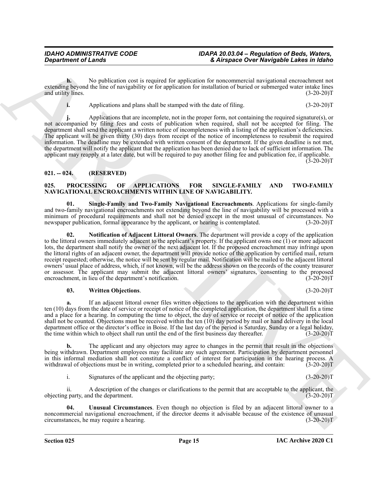**h.** No publication cost is required for application for noncommercial navigational encroachment not extending beyond the line of navigability or for application for installation of buried or submerged water intake lines and utility lines. (3-20-20) and utility lines.

**i.** Applications and plans shall be stamped with the date of filing. (3-20-20)T

**j.** Applications that are incomplete, not in the proper form, not containing the required signature(s), or not accompanied by filing fees and costs of publication when required, shall not be accepted for filing. The department shall send the applicant a written notice of incompleteness with a listing of the application's deficiencies. The applicant will be given thirty (30) days from receipt of the notice of incompleteness to resubmit the required information. The deadline may be extended with written consent of the department. If the given deadline is not met, the department will notify the applicant that the application has been denied due to lack of sufficient information. The applicant may reapply at a later date, but will be required to pay another filing fee and publication fee, if applicable.  $(3-20-20)T$ 

# <span id="page-14-0"></span>**021. -- 024. (RESERVED)**

### <span id="page-14-2"></span><span id="page-14-1"></span>**025. PROCESSING OF APPLICATIONS FOR SINGLE-FAMILY AND TWO-FAMILY NAVIGATIONAL ENCROACHMENTS WITHIN LINE OF NAVIGABILITY.**

<span id="page-14-4"></span><span id="page-14-3"></span>**01. Single-Family and Two-Family Navigational Encroachments**. Applications for single-family and two-family navigational encroachments not extending beyond the line of navigability will be processed with a minimum of procedural requirements and shall not be denied except in the most unusual of circumstances. No newspaper publication, formal appearance by the applicant, or hearing is contemplated. (3-20-20)T

**Expansion of Lendary Contribution** is a divergence Over Marigade Cale in the set of the set of the set of the set of the set of the set of the set of the set of the set of the set of the set of the set of the set of the **02. Notification of Adjacent Littoral Owners**. The department will provide a copy of the application to the littoral owners immediately adjacent to the applicant's property. If the applicant owns one (1) or more adjacent lots, the department shall notify the owner of the next adjacent lot. If the proposed encroachment may infringe upon the littoral rights of an adjacent owner, the department will provide notice of the application by certified mail, return receipt requested; otherwise, the notice will be sent by regular mail. Notification will be mailed to the adjacent littoral owners' usual place of address, which, if not known, will be the address shown on the records of the county treasurer or assessor. The applicant may submit the adjacent littoral owners' signatures, consenting to the proposed encroachment, in lieu of the department's notification. (3-20-20) encroachment, in lieu of the department's notification.

# <span id="page-14-6"></span>**03. Written Objections**. (3-20-20)T

### **a.** If an adjacent littoral owner files written objections to the application with the department within ten (10) days from the date of service or receipt of notice of the completed application, the department shall fix a time and a place for a hearing. In computing the time to object, the day of service or receipt of notice of the application shall not be counted. Objections must be received within the ten (10) day period by mail or hand delivery in the local department office or the director's office in Boise. If the last day of the period is Saturday, Sunday or a legal holiday, the time within which to object shall run until the end of the first business day thereafter. (3-20-20)T

**b.** The applicant and any objectors may agree to changes in the permit that result in the objections being withdrawn. Department employees may facilitate any such agreement. Participation by department personnel in this informal mediation shall not constitute a conflict of interest for participation in the hearing process. A withdrawal of objections must be in writing, completed prior to a scheduled hearing, and contain: (3-20-20)T

<span id="page-14-5"></span>i. Signatures of the applicant and the objecting party; (3-20-20)T

ii. A description of the changes or clarifications to the permit that are acceptable to the applicant, the objecting party, and the department. (3-20-20)T

**04. Unusual Circumstances**. Even though no objection is filed by an adjacent littoral owner to a noncommercial navigational encroachment, if the director deems it advisable because of the existence of unusual circumstances, he may require a hearing. (3-20-20) circumstances, he may require a hearing.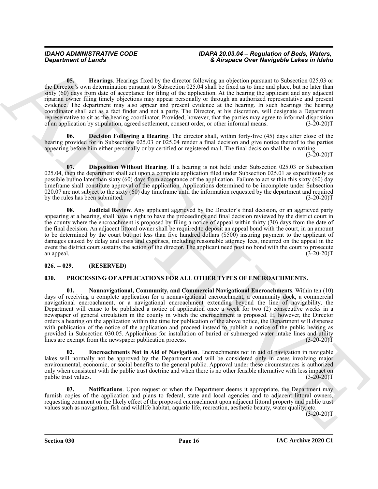<span id="page-15-8"></span>**05. Hearings**. Hearings fixed by the director following an objection pursuant to Subsection 025.03 or the Director's own determination pursuant to Subsection 025.04 shall be fixed as to time and place, but no later than sixty (60) days from date of acceptance for filing of the application. At the hearing the applicant and any adjacent riparian owner filing timely objections may appear personally or through an authorized representative and present evidence. The department may also appear and present evidence at the hearing. In such hearings the hearing coordinator shall act as a fact finder and not a party. The Director, at his discretion, will designate a Department representative to sit as the hearing coordinator. Provided, however, that the parties may agree to informal disposition of an application by stipulation, agreed settlement, consent order, or other informal means. (3-20-20)T

<span id="page-15-6"></span>**06. Decision Following a Hearing**. The director shall, within forty-five (45) days after close of the hearing provided for in Subsections 025.03 or 025.04 render a final decision and give notice thereof to the parties appearing before him either personally or by certified or registered mail. The final decision shall be in writing.

 $(3-20-20)$ T

<span id="page-15-7"></span>**07. Disposition Without Hearing**. If a hearing is not held under Subsection 025.03 or Subsection 025.04, then the department shall act upon a complete application filed under Subsection 025.01 as expeditiously as possible but no later than sixty (60) days from acceptance of the application. Failure to act within this sixty (60) day timeframe shall constitute approval of the application. Applications determined to be incomplete under Subsection 020.07 are not subject to the sixty (60) day timeframe until the information requested by the department and required by the rules has been submitted. (3-20-20)T

<span id="page-15-9"></span>**08. Judicial Review**. Any applicant aggrieved by the Director's final decision, or an aggrieved party appearing at a hearing, shall have a right to have the proceedings and final decision reviewed by the district court in the county where the encroachment is proposed by filing a notice of appeal within thirty (30) days from the date of the final decision. An adjacent littoral owner shall be required to deposit an appeal bond with the court, in an amount to be determined by the court but not less than five hundred dollars (\$500) insuring payment to the applicant of damages caused by delay and costs and expenses, including reasonable attorney fees, incurred on the appeal in the event the district court sustains the action of the director. The applicant need post no bond with the court to prosecute an appeal.  $(3-20-20)$ an appeal. (3-20-20)T

# <span id="page-15-0"></span>**026. -- 029. (RESERVED)**

# <span id="page-15-4"></span><span id="page-15-2"></span><span id="page-15-1"></span>**030. PROCESSING OF APPLICATIONS FOR ALL OTHER TYPES OF ENCROACHMENTS.**

**Expansion of Lendar<br>
4. Advanced Over Maringale. Leading and the labeling of the sine of Marchives and the sine of Karoline Control (1980). The sine of Karoline Control (1980) and the sine of Karoline Control (1980) and 01. Nonnavigational, Community, and Commercial Navigational Encroachments**. Within ten (10) days of receiving a complete application for a nonnavigational encroachment, a community dock, a commercial navigational encroachment, or a navigational encroachment extending beyond the line of navigability, the Department will cause to be published a notice of application once a week for two (2) consecutive weeks in a newspaper of general circulation in the county in which the encroachment is proposed. If, however, the Director orders a hearing on the application within the time for publication of the above notice, the Department will dispense with publication of the notice of the application and proceed instead to publish a notice of the public hearing as provided in Subsection 030.05. Applications for installation of buried or submerged water intake lines and utility lines are exempt from the newspaper publication process. (3-20-20)T

<span id="page-15-3"></span>**02. Encroachments Not in Aid of Navigation**. Encroachments not in aid of navigation in navigable lakes will normally not be approved by the Department and will be considered only in cases involving major environmental, economic, or social benefits to the general public. Approval under these circumstances is authorized only when consistent with the public trust doctrine and when there is no other feasible alternative with less impact on public trust values. (3-20-20) public trust values.

<span id="page-15-5"></span>**03. Notifications**. Upon request or when the Department deems it appropriate, the Department may furnish copies of the application and plans to federal, state and local agencies and to adjacent littoral owners, requesting comment on the likely effect of the proposed encroachment upon adjacent littoral property and public trust values such as navigation, fish and wildlife habitat, aquatic life, recreation, aesthetic beauty, water quality, etc.

 $(3-20-20)T$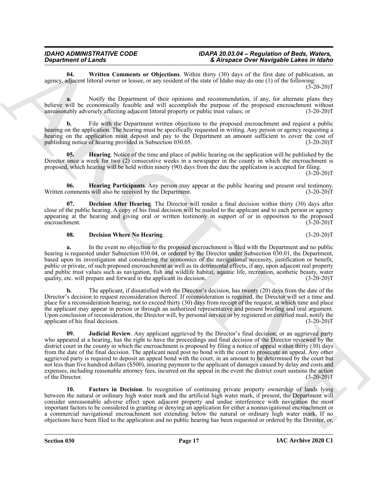<span id="page-16-6"></span>**04. Written Comments or Objections**. Within thirty (30) days of the first date of publication, an agency, adjacent littoral owner or lessee, or any resident of the state of Idaho may do one (1) of the following:  $(3-20-20)T$ 

**a.** Notify the Department of their opinions and recommendation, if any, for alternate plans they believe will be economically feasible and will accomplish the purpose of the proposed encroachment without unreasonably adversely affecting adjacent littoral property or public trust values; or (3-20-20) unreasonably adversely affecting adjacent littoral property or public trust values; or

**b.** File with the Department written objections to the proposed encroachment and request a public hearing on the application. The hearing must be specifically requested in writing. Any person or agency requesting a hearing on the application must deposit and pay to the Department an amount sufficient to cover the cost of publishing notice of hearing provided in Subsection 030.05. (3-20-20) publishing notice of hearing provided in Subsection 030.05.

<span id="page-16-3"></span>**05. Hearing**. Notice of the time and place of public hearing on the application will be published by the Director once a week for two (2) consecutive weeks in a newspaper in the county in which the encroachment is proposed, which hearing will be held within ninety (90) days from the date the application is accepted for filing.  $(3-20-20)T$ 

<span id="page-16-4"></span>**06. Hearing Participants**. Any person may appear at the public hearing and present oral testimony.<br>
comments will also be received by the Department. (3-20-20) Written comments will also be received by the Department.

**07. Decision After Hearing**. The Director will render a final decision within thirty (30) days after close of the public hearing. A copy of his final decision will be mailed to the applicant and to each person or agency appearing at the hearing and giving oral or written testimony in support of or in opposition to the proposed encroachment. (3-20-20)T

# <span id="page-16-1"></span><span id="page-16-0"></span>**08. Decision Where No Hearing**. (3-20-20)T

**a.** In the event no objection to the proposed encroachment is filed with the Department and no public hearing is requested under Subsection 030.04, or ordered by the Director under Subsection 030.01, the Department, based upon its investigation and considering the economics of the navigational necessity, justification or benefit, public or private, of such proposed encroachment as well as its detrimental effects, if any, upon adjacent real property and public trust values such as navigation, fish and wildlife habitat, aquatic life, recreation, aesthetic beauty, water quality, etc. will prepare and forward to the applicant its decision. (3-20-20)T

<span id="page-16-5"></span>**b.** The applicant, if dissatisfied with the Director's decision, has twenty (20) days from the date of the Director's decision to request reconsideration thereof. If reconsideration is required, the Director will set a time and place for a reconsideration hearing, not to exceed thirty (30) days from receipt of the request, at which time and place the applicant may appear in person or through an authorized representative and present briefing and oral argument. Upon conclusion of reconsideration, the Director will, by personal service or by registered or certified mail, notify the applicant of his final decision. (3-20-20)T

**Department of Lensin<br>
16. Lensing and Connective and Connective and Connective and Connective and Connective and Connective and Connective and Connective and Connective and Connective and Connective and Connective and 09. Judicial Review**. Any applicant aggrieved by the Director's final decision, or an aggrieved party who appeared at a hearing, has the right to have the proceedings and final decision of the Director reviewed by the district court in the county in which the encroachment is proposed by filing a notice of appeal within thirty (30) days from the date of the final decision. The applicant need post no bond with the court to prosecute an appeal. Any other aggrieved party is required to deposit an appeal bond with the court, in an amount to be determined by the court but not less than five hundred dollars (\$500), insuring payment to the applicant of damages caused by delay and costs and expenses, including reasonable attorney fees, incurred on the appeal in the event the district court sustains the action of the Director.

<span id="page-16-2"></span>**10. Factors in Decision**. In recognition of continuing private property ownership of lands lying between the natural or ordinary high water mark and the artificial high water mark, if present, the Department will consider unreasonable adverse effect upon adjacent property and undue interference with navigation the most important factors to be considered in granting or denying an application for either a nonnavigational encroachment or a commercial navigational encroachment not extending below the natural or ordinary high water mark. If no objections have been filed to the application and no public hearing has been requested or ordered by the Director, or,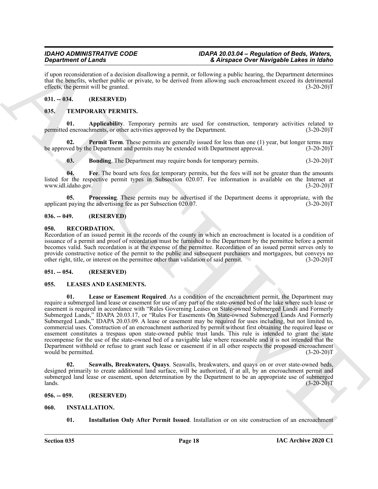if upon reconsideration of a decision disallowing a permit, or following a public hearing, the Department determines that the benefits, whether public or private, to be derived from allowing such encroachment exceed its detrimental effects, the permit will be granted. (3-20-20) effects, the permit will be granted.

# <span id="page-17-0"></span>**031. -- 034. (RESERVED)**

# <span id="page-17-14"></span><span id="page-17-1"></span>**035. TEMPORARY PERMITS.**

<span id="page-17-15"></span>**01. Applicability**. Temporary permits are used for construction, temporary activities related to permitted encroachments, or other activities approved by the Department. (3-20-20)T

**Permit Term**. These permits are generally issued for less than one (1) year, but longer terms may e Department and permits may be extended with Department approval. (3-20-20)T be approved by the Department and permits may be extended with Department approval.

<span id="page-17-19"></span><span id="page-17-18"></span><span id="page-17-17"></span><span id="page-17-16"></span>**03. Bonding**. The Department may require bonds for temporary permits. (3-20-20)T

**04. Fee**. The board sets fees for temporary permits, but the fees will not be greater than the amounts listed for the respective permit types in Subsection 020.07. Fee information is available on the Internet at www.idl.idaho.gov. (3-20-20)T

**05. Processing**. These permits may be advertised if the Department deems it appropriate, with the t paying the advertising fee as per Subsection 020.07. (3-20-20) applicant paying the advertising fee as per Subsection 020.07.

# <span id="page-17-2"></span>**036. -- 049. (RESERVED)**

# <span id="page-17-13"></span><span id="page-17-3"></span>**050. RECORDATION.**

Recordation of an issued permit in the records of the county in which an encroachment is located is a condition of issuance of a permit and proof of recordation must be furnished to the Department by the permittee before a permit becomes valid. Such recordation is at the expense of the permittee. Recordation of an issued permit serves only to provide constructive notice of the permit to the public and subsequent purchasers and mortgagees, but conveys no<br>other right, title, or interest on the permittee other than validation of said permit. (3-20-20)T other right, title, or interest on the permittee other than validation of said permit.

# <span id="page-17-4"></span>**051. -- 054. (RESERVED)**

# <span id="page-17-11"></span><span id="page-17-10"></span><span id="page-17-5"></span>**055. LEASES AND EASEMENTS.**

**Experiment of Lineary Constraints of Arrange Constraints (Constraints) A** constraint is the constraint of the state of the state of the state of the state of the state of the state of the state of the state of the stat Lease or Easement Required. As a condition of the encroachment permit, the Department may require a submerged land lease or easement for use of any part of the state-owned bed of the lake where such lease or easement is required in accordance with "Rules Governing Leases on State-owned Submerged Lands and Formerly Submerged Lands," IDAPA 20.03.17, or "Rules For Easements On State-owned Submerged Lands And Formerly Submerged Lands," IDAPA 20.03.09. A lease or easement may be required for uses including, but not limited to, commercial uses. Construction of an encroachment authorized by permit without first obtaining the required lease or easement constitutes a trespass upon state-owned public trust lands. This rule is intended to grant the state recompense for the use of the state-owned bed of a navigable lake where reasonable and it is not intended that the Department withhold or refuse to grant such lease or easement if in all other respects the proposed encroachment would be permitted. (3-20-20)T would be permitted.

<span id="page-17-12"></span>**02. Seawalls, Breakwaters, Quays**. Seawalls, breakwaters, and quays on or over state-owned beds, designed primarily to create additional land surface, will be authorized, if at all, by an encroachment permit and submerged land lease or easement, upon determination by the Department to be an appropriate use of submerged lands. (3-20-20)  $lands.$  (3-20-20) $T$ 

# <span id="page-17-6"></span>**056. -- 059. (RESERVED)**

# <span id="page-17-7"></span>**060. INSTALLATION.**

<span id="page-17-9"></span><span id="page-17-8"></span>**01.** Installation Only After Permit Issued. Installation or on site construction of an encroachment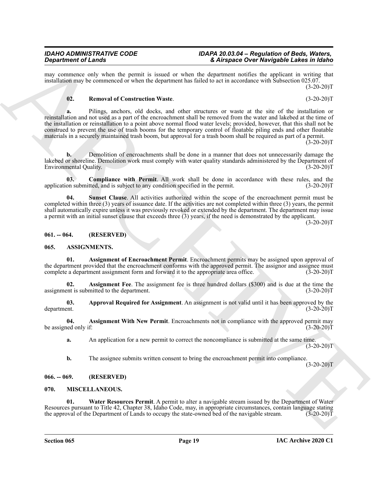may commence only when the permit is issued or when the department notifies the applicant in writing that installation may be commenced or when the department has failed to act in accordance with Subsection 025.07.  $(3-20-20)T$ 

<span id="page-18-10"></span>**02. Removal of Construction Waste**. (3-20-20)T

**Significant of Language Constraints (Exploration Architecture Constraint (Exploration Architecture Constraint (Exploration Architecture Constraint (Exploration Architecture Constraint (Exploration Architecture Constraint a.** Pilings, anchors, old docks, and other structures or waste at the site of the installation or reinstallation and not used as a part of the encroachment shall be removed from the water and lakebed at the time of the installation or reinstallation to a point above normal flood water levels; provided, however, that this shall not be construed to prevent the use of trash booms for the temporary control of floatable piling ends and other floatable materials in a securely maintained trash boom, but approval for a trash boom shall be required as part of a permit.

 $(3-20-20)T$ 

**b.** Demolition of encroachments shall be done in a manner that does not unnecessarily damage the lakebed or shoreline. Demolition work must comply with water quality standards administered by the Department of Environmental Quality. (3-20-20)T

<span id="page-18-9"></span>**03. Compliance with Permit**. All work shall be done in accordance with these rules, and the application submitted, and is subject to any condition specified in the permit. (3-20-20)T

<span id="page-18-11"></span>**04. Sunset Clause**. All activities authorized within the scope of the encroachment permit must be completed within three (3) years of issuance date. If the activities are not completed within three (3) years, the permit shall automatically expire unless it was previously revoked or extended by the department. The department may issue a permit with an initial sunset clause that exceeds three (3) years, if the need is demonstrated by the applicant.

 $(3-20-20)T$ 

# <span id="page-18-0"></span>**061. -- 064. (RESERVED)**

# <span id="page-18-4"></span><span id="page-18-1"></span>**065. ASSIGNMENTS.**

<span id="page-18-7"></span>**01. Assignment of Encroachment Permit**. Encroachment permits may be assigned upon approval of the department provided that the encroachment conforms with the approved permit. The assignor and assignee must<br>complete a department assignment form and forward it to the appropriate area office. (3-20-20) complete a department assignment form and forward it to the appropriate area office.

<span id="page-18-6"></span>**02. Assignment Fee**. The assignment fee is three hundred dollars (\$300) and is due at the time the assignment is submitted to the department. (3-20-20)T

<span id="page-18-5"></span>**03. Approval Required for Assignment**. An assignment is not valid until it has been approved by the ent. (3-20-20) department. (3-20-20)T

**04.** Assignment With New Permit. Encroachments not in compliance with the approved permit may ned only if: (3-20-20) be assigned only if:

<span id="page-18-8"></span>**a.** An application for a new permit to correct the noncompliance is submitted at the same time.  $(3-20-20)T$ 

<span id="page-18-13"></span>**b.** The assignee submits written consent to bring the encroachment permit into compliance.

 $(3-20-20)$ T

# <span id="page-18-2"></span>**066. -- 069. (RESERVED)**

# <span id="page-18-12"></span><span id="page-18-3"></span>**070. MISCELLANEOUS.**

**01. Water Resources Permit**. A permit to alter a navigable stream issued by the Department of Water Resources pursuant to Title 42, Chapter 38, Idaho Code, may, in appropriate circumstances, contain language stating<br>the approval of the Department of Lands to occupy the state-owned bed of the navigable stream. (3-20-20)T the approval of the Department of Lands to occupy the state-owned bed of the navigable stream.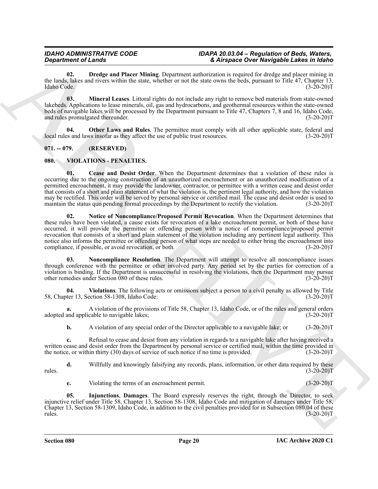<span id="page-19-2"></span>**02. Dredge and Placer Mining**. Department authorization is required for dredge and placer mining in the lands, lakes and rivers within the state, whether or not the state owns the beds, pursuant to Title 47, Chapter 13,<br>Idaho Code. (3-20-20) Idaho Code. (3-20-20)T

<span id="page-19-3"></span>**03. Mineral Leases**. Littoral rights do not include any right to remove bed materials from state-owned lakebeds. Applications to lease minerals, oil, gas and hydrocarbons, and geothermal resources within the state-owned beds of navigable lakes will be processed by the Department pursuant to Title 47, Chapters 7, 8 and 16, Idaho Code, and rules promulgated thereunder. (3-20-20)T

<span id="page-19-4"></span>**04.** Other Laws and Rules. The permittee must comply with all other applicable state, federal and is and laws insofar as they affect the use of public trust resources. (3-20-20) local rules and laws insofar as they affect the use of public trust resources.

# <span id="page-19-0"></span>**071. -- 079. (RESERVED)**

# <span id="page-19-6"></span><span id="page-19-5"></span><span id="page-19-1"></span>**080. VIOLATIONS - PENALTIES.**

**Equivalent of Lensins**<br> **Equivalent State Mating Dependent of Advisor on Advisor Constrainers in the Constrainers of the Constrainers (Exception 2018)**<br>
An archive state and the state of the state of the state and the st **01. Cease and Desist Order**. When the Department determines that a violation of these rules is occurring due to the ongoing construction of an unauthorized encroachment or an unauthorized modification of a permitted encroachment, it may provide the landowner, contractor, or permittee with a written cease and desist order that consists of a short and plain statement of what the violation is, the pertinent legal authority, and how the violation may be rectified. This order will be served by personal service or certified mail. The cease and desist order is used to maintain the status quo pending formal proceedings by the Department to rectify the violation. (3-20maintain the status quo pending formal proceedings by the Department to rectify the violation.

<span id="page-19-9"></span>**02. Notice of Noncompliance/Proposed Permit Revocation**. When the Department determines that these rules have been violated, a cause exists for revocation of a lake encroachment permit, or both of these have occurred, it will provide the permittee or offending person with a notice of noncompliance/proposed permit revocation that consists of a short and plain statement of the violation including any pertinent legal authority. This notice also informs the permittee or offending person of what steps are needed to either bring the encroachment into compliance, if possible, or avoid revocation, or both. (3-20-20) compliance, if possible, or avoid revocation, or both.

<span id="page-19-8"></span>**03. Noncompliance Resolution**. The Department will attempt to resolve all noncompliance issues through conference with the permittee or other involved party. Any period set by the parties for correction of a violation is binding. If the Department is unsuccessful in resolving the violations, then the Department may pursue other remedies under Section 080 of these rules. (3-20-20)T

<span id="page-19-10"></span>**04.** Violations. The following acts or omissions subject a person to a civil penalty as allowed by Title ter 13. Section 58-1308. Idaho Code: (3-20-20) 58, Chapter 13, Section 58-1308, Idaho Code:

**a.** A violation of the provisions of Title 58, Chapter 13, Idaho Code, or of the rules and general orders adopted and applicable to navigable lakes;

**b.** A violation of any special order of the Director applicable to a navigable lake; or  $(3-20-20)T$ 

**c.** Refusal to cease and desist from any violation in regards to a navigable lake after having received a written cease and desist order from the Department by personal service or certified mail, within the time provided in the notice, or within thirty (30) days of service of such notice if no time is provided. (3-20-20) the notice, or within thirty  $(30)$  days of service of such notice if no time is provided.

**d.** Willfully and knowingly falsifying any records, plans, information, or other data required by these  $r_{\text{rules}}$ . (3-20-20)T

<span id="page-19-7"></span>**e.** Violating the terms of an encroachment permit. (3-20-20)T

**05. Injunctions**, **Damages**. The Board expressly reserves the right, through the Director, to seek injunctive relief under Title 58, Chapter 13, Section 58-1308, Idaho Code and mitigation of damages under Title 58, Chapter 13, Section 58-1309, Idaho Code, in addition to the civil penalties provided for in Subsection 080.04 of these rules.  $(3-20-20)T$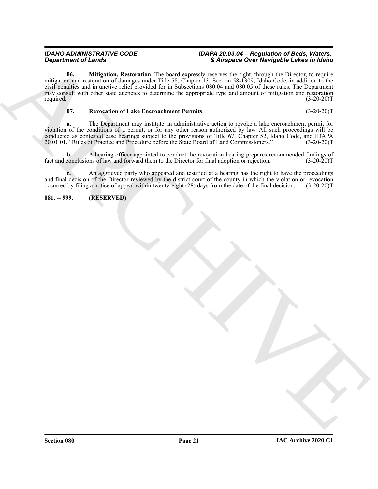**Expansion of Linear Science Communication (2)** and the set of the set of the set of the set of the set of the set of the set of the set of the set of the set of the set of the set of the set of the set of the set of the **06. Mitigation, Restoration**. The board expressly reserves the right, through the Director, to require mitigation and restoration of damages under Title 58, Chapter 13, Section 58-1309, Idaho Code, in addition to the civil penalties and injunctive relief provided for in Subsections 080.04 and 080.05 of these rules. The Department may consult with other state agencies to determine the appropriate type and amount of mitigation and restoration required.  $(3-20-20)T$ 

# <span id="page-20-2"></span><span id="page-20-1"></span>**07. Revocation of Lake Encroachment Permits**. (3-20-20)T

**a.** The Department may institute an administrative action to revoke a lake encroachment permit for violation of the conditions of a permit, or for any other reason authorized by law. All such proceedings will be conducted as contested case hearings subject to the provisions of Title 67, Chapter 52, Idaho Code, and IDAPA 20.01.01, "Rules of Practice and Procedure before the State Board of Land Commissioners." (3-20-20)T 20.01.01, "Rules of Practice and Procedure before the State Board of Land Commissioners."

**b.** A hearing officer appointed to conduct the revocation hearing prepares recommended findings of fact and conclusions of law and forward them to the Director for final adoption or rejection. (3-20-20)T

**c.** An aggrieved party who appeared and testified at a hearing has the right to have the proceedings and final decision of the Director reviewed by the district court of the county in which the violation or revocation occurred by filing a notice of appeal within twenty-eight (28) days from the date of the final decision. (3-20-20)T

# <span id="page-20-0"></span>**081. -- 999. (RESERVED)**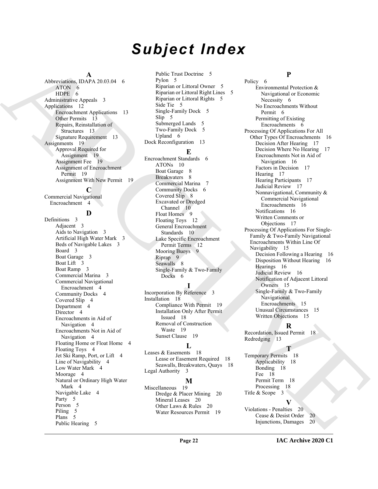# *Subject Index*

# **A**

Abbreviations, IDAPA 20.03.04 6 ATON 6 HDPE 6 Administrative Appeals 3 Applications 12 Encroachment Applications 13 Other Permits 13 Repairs, Reinstallation of Structures 13 Signature Requirement 13 Assignments 19 Approval Required for Assignment 19 Assignment Fee 19 Assignment of Encroachment Permit 19 Assignment With New Permit 19

# **C**

Commercial Navigational Encroachment 4

# **D**

Definitions 3 Adjacent 3 Aids to Navigation 3 Artificial High Water Mark 3 Beds of Navigable Lakes 3 Board 3 Boat Garage 3 Boat Lift 3 Boat Ramp 3 Commercial Marina 3 Commercial Navigational Encroachment 4 Community Docks 4 Covered Slip 4 Department 4 Director 4 Encroachments in Aid of Navigation 4 Encroachments Not in Aid of Navigation 4 Floating Home or Float Home 4 Floating Toys 4 Jet Ski Ramp, Port, or Lift 4 Line of Navigability 4 Low Water Mark 4 Moorage 4 Natural or Ordinary High Water Mark 4 Navigable Lake 4 Party 5 Person 5 Piling 5 Plans 5 Public Hearing 5

Public Trust Doctrine 5 Pylon 5 Riparian or Littoral Owner 5 Riparian or Littoral Right Lines 5 Riparian or Littoral Rights 5 Side Tie 5 Single-Family Dock 5 Slip 5 Submerged Lands 5 Two-Family Dock 5 Upland 6 Dock Reconfiguration 13

# **E**

Encroachment Standards 6 ATONs 10 Boat Garage 8 Breakwaters 8 Commercial Marina 7 Community Docks 6 Covered Slip 8 Excavated or Dredged Channel 10 Float Homes 9 Floating Toys 12 General Encroachment Standards 10 Lake Specific Encroachment Permit Terms 12 Mooring Buoys 9 Riprap 9 Seawalls 8 Single-Family & Two-Family Docks 6

# **I**

Incorporation By Reference 3 Installation 18 Compliance With Permit 19 Installation Only After Permit Issued 18 Removal of Construction Waste 19 Sunset Clause 19

# $\mathbf{L}$

Leases & Easements 18 Lease or Easement Required 18 Seawalls, Breakwaters, Quays 18 Legal Authority 3

# **M**

Miscellaneous 19 Dredge & Placer Mining 20 Mineral Leases 20 Other Laws & Rules 20 Water Resources Permit 19

# **P**

Although Lindy 2003. The state of the state of the state of the state of the state of the state of the state of the state of the state of the state of the state of the state of the state of the state of the state of the s Policy 6 Environmental Protection & Navigational or Economic Necessity 6 No Encroachments Without Permit 6 Permitting of Existing Encroachments 6 Processing Of Applications For All Other Types Of Encroachments 16 Decision After Hearing 17 Decision Where No Hearing 17 Encroachments Not in Aid of Navigation 16 Factors in Decision 17 Hearing 17 Hearing Participants 17 Judicial Review 17 Nonnavigational, Community & Commercial Navigational Encroachments 16 Notifications 16 Written Comments or Objections 17 Processing Of Applications For Single-Family & Two-Family Navigational Encroachments Within Line Of Navigability 15 Decision Following a Hearing 16 Disposition Without Hearing 16 Hearings 16 Judicial Review 16 Notification of Adjacent Littoral Owners 15 Single-Family & Two-Family Navigational Encroachments 15 Unusual Circumstances 15 Written Objections 15

# **R**

Recordation, Issued Permit 18 Redredging 13

**T** Temporary Permits 18 Applicability 18 Bonding 18 Fee 18 Permit Term 18 Processing 18 Title & Scope 3

# **V**

Violations - Penalties 20 Cease & Desist Order 20 Injunctions, Damages 20